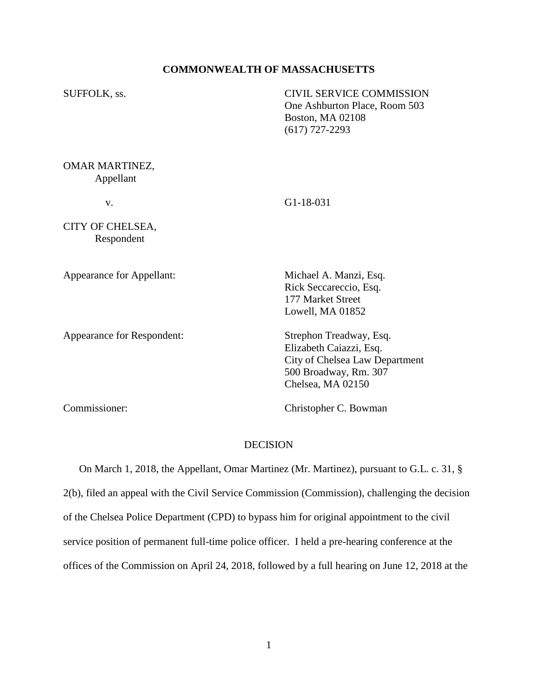## **COMMONWEALTH OF MASSACHUSETTS**

SUFFOLK, ss. CIVIL SERVICE COMMISSION One Ashburton Place, Room 503 Boston, MA 02108 (617) 727-2293

OMAR MARTINEZ, Appellant

v. G1-18-031

CITY OF CHELSEA, Respondent

Appearance for Appellant: Michael A. Manzi, Esq.

Appearance for Respondent: Strephon Treadway, Esq.

Rick Seccareccio, Esq. 177 Market Street Lowell, MA 01852

Elizabeth Caiazzi, Esq. City of Chelsea Law Department 500 Broadway, Rm. 307 Chelsea, MA 02150

Commissioner: Christopher C. Bowman

## DECISION

 On March 1, 2018, the Appellant, Omar Martinez (Mr. Martinez), pursuant to G.L. c. 31, § 2(b), filed an appeal with the Civil Service Commission (Commission), challenging the decision of the Chelsea Police Department (CPD) to bypass him for original appointment to the civil service position of permanent full-time police officer. I held a pre-hearing conference at the offices of the Commission on April 24, 2018, followed by a full hearing on June 12, 2018 at the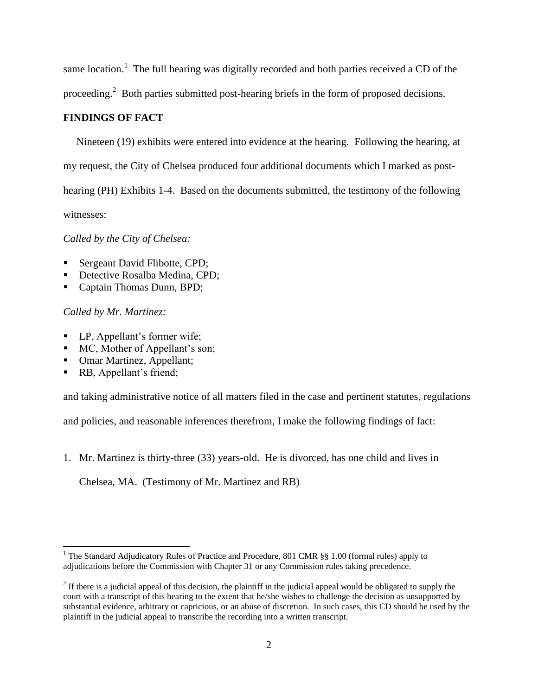same location.<sup>1</sup> The full hearing was digitally recorded and both parties received a CD of the proceeding.<sup>2</sup> Both parties submitted post-hearing briefs in the form of proposed decisions.

# **FINDINGS OF FACT**

 Nineteen (19) exhibits were entered into evidence at the hearing. Following the hearing, at my request, the City of Chelsea produced four additional documents which I marked as posthearing (PH) Exhibits 1-4. Based on the documents submitted, the testimony of the following witnesses:

*Called by the City of Chelsea:*

- Sergeant David Flibotte, CPD;
- Detective Rosalba Medina, CPD;
- Captain Thomas Dunn, BPD;

*Called by Mr. Martinez:*

- LP, Appellant's former wife;
- MC, Mother of Appellant's son;
- Omar Martinez, Appellant;
- RB, Appellant's friend;

l

and taking administrative notice of all matters filed in the case and pertinent statutes, regulations

and policies, and reasonable inferences therefrom, I make the following findings of fact:

1. Mr. Martinez is thirty-three (33) years-old. He is divorced, has one child and lives in

Chelsea, MA. (Testimony of Mr. Martinez and RB)

<sup>&</sup>lt;sup>1</sup> The Standard Adjudicatory Rules of Practice and Procedure, 801 CMR  $\S$ § 1.00 (formal rules) apply to adjudications before the Commission with Chapter 31 or any Commission rules taking precedence.

 $2<sup>2</sup>$  If there is a judicial appeal of this decision, the plaintiff in the judicial appeal would be obligated to supply the court with a transcript of this hearing to the extent that he/she wishes to challenge the decision as unsupported by substantial evidence, arbitrary or capricious, or an abuse of discretion. In such cases, this CD should be used by the plaintiff in the judicial appeal to transcribe the recording into a written transcript.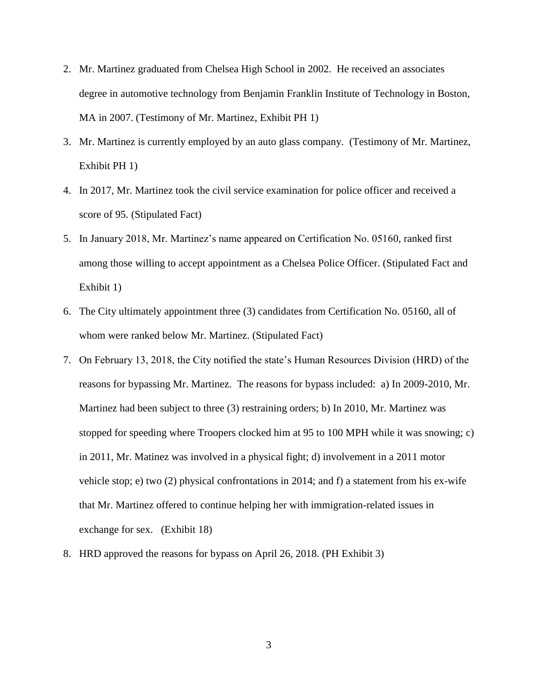- 2. Mr. Martinez graduated from Chelsea High School in 2002. He received an associates degree in automotive technology from Benjamin Franklin Institute of Technology in Boston, MA in 2007. (Testimony of Mr. Martinez, Exhibit PH 1)
- 3. Mr. Martinez is currently employed by an auto glass company. (Testimony of Mr. Martinez, Exhibit PH 1)
- 4. In 2017, Mr. Martinez took the civil service examination for police officer and received a score of 95. (Stipulated Fact)
- 5. In January 2018, Mr. Martinez's name appeared on Certification No. 05160, ranked first among those willing to accept appointment as a Chelsea Police Officer. (Stipulated Fact and Exhibit 1)
- 6. The City ultimately appointment three (3) candidates from Certification No. 05160, all of whom were ranked below Mr. Martinez. (Stipulated Fact)
- 7. On February 13, 2018, the City notified the state's Human Resources Division (HRD) of the reasons for bypassing Mr. Martinez. The reasons for bypass included: a) In 2009-2010, Mr. Martinez had been subject to three (3) restraining orders; b) In 2010, Mr. Martinez was stopped for speeding where Troopers clocked him at 95 to 100 MPH while it was snowing; c) in 2011, Mr. Matinez was involved in a physical fight; d) involvement in a 2011 motor vehicle stop; e) two (2) physical confrontations in 2014; and f) a statement from his ex-wife that Mr. Martinez offered to continue helping her with immigration-related issues in exchange for sex. (Exhibit 18)
- 8. HRD approved the reasons for bypass on April 26, 2018. (PH Exhibit 3)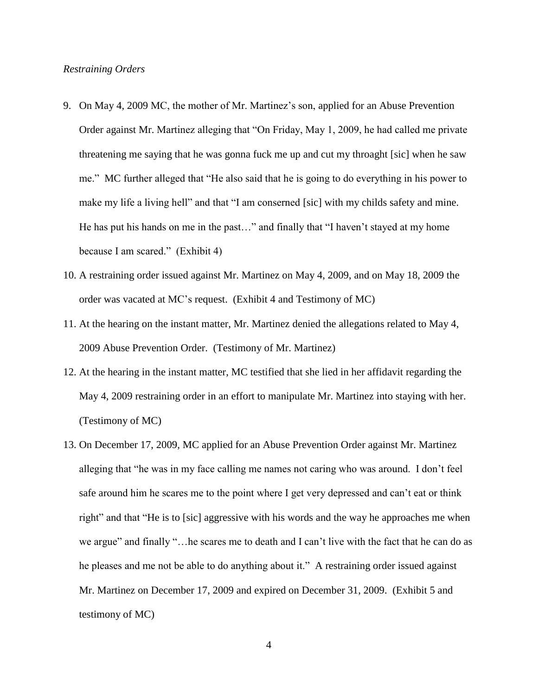## *Restraining Orders*

- 9. On May 4, 2009 MC, the mother of Mr. Martinez's son, applied for an Abuse Prevention Order against Mr. Martinez alleging that "On Friday, May 1, 2009, he had called me private threatening me saying that he was gonna fuck me up and cut my throaght [sic] when he saw me." MC further alleged that "He also said that he is going to do everything in his power to make my life a living hell" and that "I am conserned [sic] with my childs safety and mine. He has put his hands on me in the past…" and finally that "I haven't stayed at my home because I am scared." (Exhibit 4)
- 10. A restraining order issued against Mr. Martinez on May 4, 2009, and on May 18, 2009 the order was vacated at MC's request. (Exhibit 4 and Testimony of MC)
- 11. At the hearing on the instant matter, Mr. Martinez denied the allegations related to May 4, 2009 Abuse Prevention Order. (Testimony of Mr. Martinez)
- 12. At the hearing in the instant matter, MC testified that she lied in her affidavit regarding the May 4, 2009 restraining order in an effort to manipulate Mr. Martinez into staying with her. (Testimony of MC)
- 13. On December 17, 2009, MC applied for an Abuse Prevention Order against Mr. Martinez alleging that "he was in my face calling me names not caring who was around. I don't feel safe around him he scares me to the point where I get very depressed and can't eat or think right" and that "He is to [sic] aggressive with his words and the way he approaches me when we argue" and finally "…he scares me to death and I can't live with the fact that he can do as he pleases and me not be able to do anything about it." A restraining order issued against Mr. Martinez on December 17, 2009 and expired on December 31, 2009. (Exhibit 5 and testimony of MC)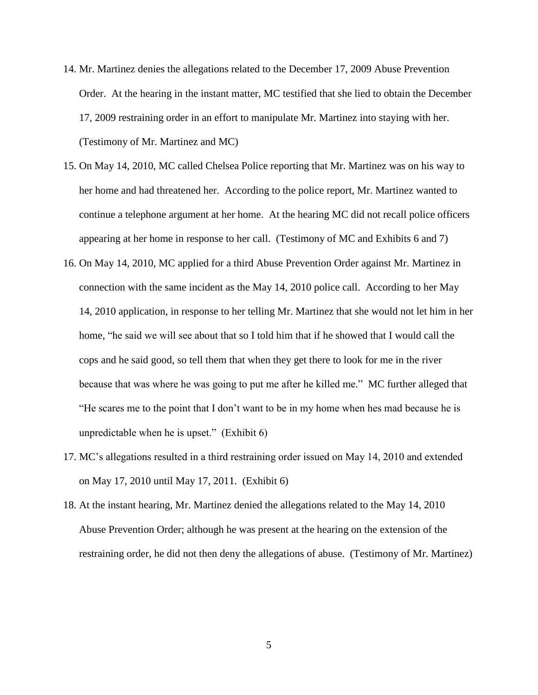- 14. Mr. Martinez denies the allegations related to the December 17, 2009 Abuse Prevention Order. At the hearing in the instant matter, MC testified that she lied to obtain the December 17, 2009 restraining order in an effort to manipulate Mr. Martinez into staying with her. (Testimony of Mr. Martinez and MC)
- 15. On May 14, 2010, MC called Chelsea Police reporting that Mr. Martinez was on his way to her home and had threatened her. According to the police report, Mr. Martinez wanted to continue a telephone argument at her home. At the hearing MC did not recall police officers appearing at her home in response to her call. (Testimony of MC and Exhibits 6 and 7)
- 16. On May 14, 2010, MC applied for a third Abuse Prevention Order against Mr. Martinez in connection with the same incident as the May 14, 2010 police call. According to her May 14, 2010 application, in response to her telling Mr. Martinez that she would not let him in her home, "he said we will see about that so I told him that if he showed that I would call the cops and he said good, so tell them that when they get there to look for me in the river because that was where he was going to put me after he killed me." MC further alleged that "He scares me to the point that I don't want to be in my home when hes mad because he is unpredictable when he is upset." (Exhibit 6)
- 17. MC's allegations resulted in a third restraining order issued on May 14, 2010 and extended on May 17, 2010 until May 17, 2011. (Exhibit 6)
- 18. At the instant hearing, Mr. Martinez denied the allegations related to the May 14, 2010 Abuse Prevention Order; although he was present at the hearing on the extension of the restraining order, he did not then deny the allegations of abuse. (Testimony of Mr. Martinez)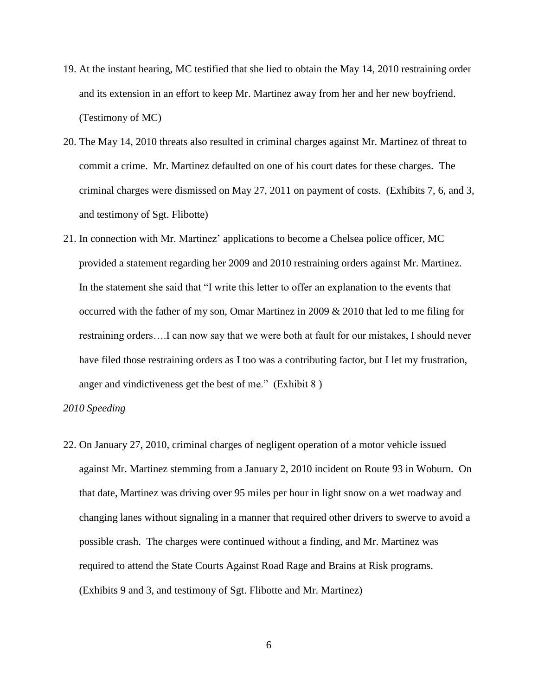- 19. At the instant hearing, MC testified that she lied to obtain the May 14, 2010 restraining order and its extension in an effort to keep Mr. Martinez away from her and her new boyfriend. (Testimony of MC)
- 20. The May 14, 2010 threats also resulted in criminal charges against Mr. Martinez of threat to commit a crime. Mr. Martinez defaulted on one of his court dates for these charges. The criminal charges were dismissed on May 27, 2011 on payment of costs. (Exhibits 7, 6, and 3, and testimony of Sgt. Flibotte)
- 21. In connection with Mr. Martinez' applications to become a Chelsea police officer, MC provided a statement regarding her 2009 and 2010 restraining orders against Mr. Martinez. In the statement she said that "I write this letter to offer an explanation to the events that occurred with the father of my son, Omar Martinez in 2009 & 2010 that led to me filing for restraining orders….I can now say that we were both at fault for our mistakes, I should never have filed those restraining orders as I too was a contributing factor, but I let my frustration, anger and vindictiveness get the best of me." (Exhibit 8 )

## *2010 Speeding*

22. On January 27, 2010, criminal charges of negligent operation of a motor vehicle issued against Mr. Martinez stemming from a January 2, 2010 incident on Route 93 in Woburn. On that date, Martinez was driving over 95 miles per hour in light snow on a wet roadway and changing lanes without signaling in a manner that required other drivers to swerve to avoid a possible crash. The charges were continued without a finding, and Mr. Martinez was required to attend the State Courts Against Road Rage and Brains at Risk programs. (Exhibits 9 and 3, and testimony of Sgt. Flibotte and Mr. Martinez)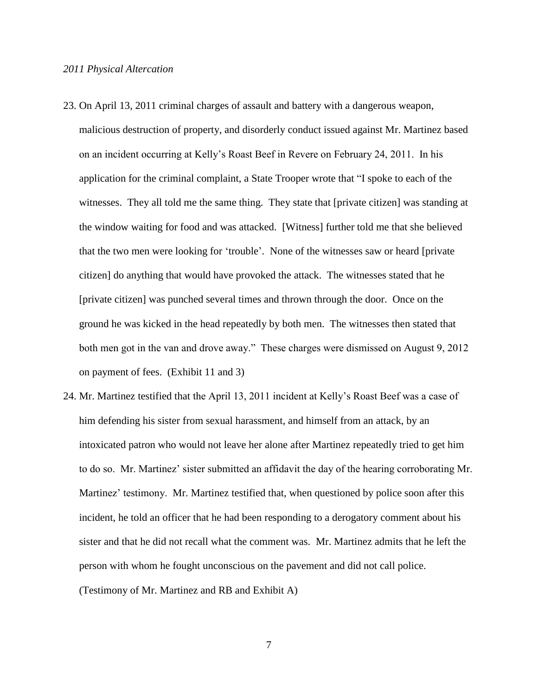- 23. On April 13, 2011 criminal charges of assault and battery with a dangerous weapon, malicious destruction of property, and disorderly conduct issued against Mr. Martinez based on an incident occurring at Kelly's Roast Beef in Revere on February 24, 2011. In his application for the criminal complaint, a State Trooper wrote that "I spoke to each of the witnesses. They all told me the same thing. They state that [private citizen] was standing at the window waiting for food and was attacked. [Witness] further told me that she believed that the two men were looking for 'trouble'. None of the witnesses saw or heard [private citizen] do anything that would have provoked the attack. The witnesses stated that he [private citizen] was punched several times and thrown through the door. Once on the ground he was kicked in the head repeatedly by both men. The witnesses then stated that both men got in the van and drove away." These charges were dismissed on August 9, 2012 on payment of fees. (Exhibit 11 and 3)
- 24. Mr. Martinez testified that the April 13, 2011 incident at Kelly's Roast Beef was a case of him defending his sister from sexual harassment, and himself from an attack, by an intoxicated patron who would not leave her alone after Martinez repeatedly tried to get him to do so. Mr. Martinez' sister submitted an affidavit the day of the hearing corroborating Mr. Martinez' testimony. Mr. Martinez testified that, when questioned by police soon after this incident, he told an officer that he had been responding to a derogatory comment about his sister and that he did not recall what the comment was. Mr. Martinez admits that he left the person with whom he fought unconscious on the pavement and did not call police. (Testimony of Mr. Martinez and RB and Exhibit A)
	- 7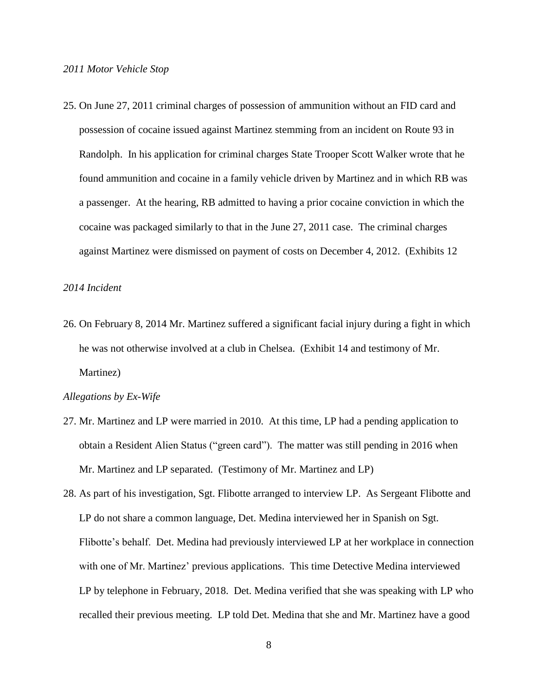25. On June 27, 2011 criminal charges of possession of ammunition without an FID card and possession of cocaine issued against Martinez stemming from an incident on Route 93 in Randolph. In his application for criminal charges State Trooper Scott Walker wrote that he found ammunition and cocaine in a family vehicle driven by Martinez and in which RB was a passenger. At the hearing, RB admitted to having a prior cocaine conviction in which the cocaine was packaged similarly to that in the June 27, 2011 case. The criminal charges against Martinez were dismissed on payment of costs on December 4, 2012. (Exhibits 12

#### *2014 Incident*

26. On February 8, 2014 Mr. Martinez suffered a significant facial injury during a fight in which he was not otherwise involved at a club in Chelsea. (Exhibit 14 and testimony of Mr. Martinez)

### *Allegations by Ex-Wife*

- 27. Mr. Martinez and LP were married in 2010. At this time, LP had a pending application to obtain a Resident Alien Status ("green card"). The matter was still pending in 2016 when Mr. Martinez and LP separated. (Testimony of Mr. Martinez and LP)
- 28. As part of his investigation, Sgt. Flibotte arranged to interview LP. As Sergeant Flibotte and LP do not share a common language, Det. Medina interviewed her in Spanish on Sgt. Flibotte's behalf. Det. Medina had previously interviewed LP at her workplace in connection with one of Mr. Martinez' previous applications. This time Detective Medina interviewed LP by telephone in February, 2018. Det. Medina verified that she was speaking with LP who recalled their previous meeting. LP told Det. Medina that she and Mr. Martinez have a good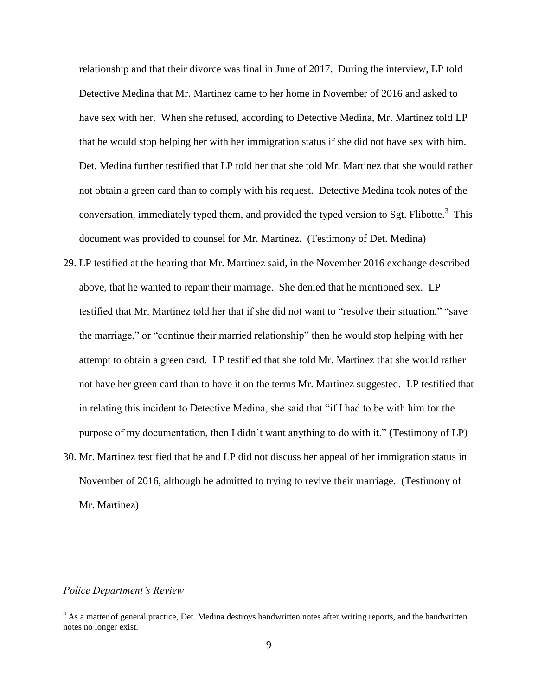relationship and that their divorce was final in June of 2017. During the interview, LP told Detective Medina that Mr. Martinez came to her home in November of 2016 and asked to have sex with her. When she refused, according to Detective Medina, Mr. Martinez told LP that he would stop helping her with her immigration status if she did not have sex with him. Det. Medina further testified that LP told her that she told Mr. Martinez that she would rather not obtain a green card than to comply with his request. Detective Medina took notes of the conversation, immediately typed them, and provided the typed version to Sgt. Flibotte.<sup>3</sup> This document was provided to counsel for Mr. Martinez. (Testimony of Det. Medina)

- 29. LP testified at the hearing that Mr. Martinez said, in the November 2016 exchange described above, that he wanted to repair their marriage. She denied that he mentioned sex. LP testified that Mr. Martinez told her that if she did not want to "resolve their situation," "save the marriage," or "continue their married relationship" then he would stop helping with her attempt to obtain a green card. LP testified that she told Mr. Martinez that she would rather not have her green card than to have it on the terms Mr. Martinez suggested. LP testified that in relating this incident to Detective Medina, she said that "if I had to be with him for the purpose of my documentation, then I didn't want anything to do with it." (Testimony of LP)
- 30. Mr. Martinez testified that he and LP did not discuss her appeal of her immigration status in November of 2016, although he admitted to trying to revive their marriage. (Testimony of Mr. Martinez)

## *Police Department's Review*

l

 $3$  As a matter of general practice, Det. Medina destroys handwritten notes after writing reports, and the handwritten notes no longer exist.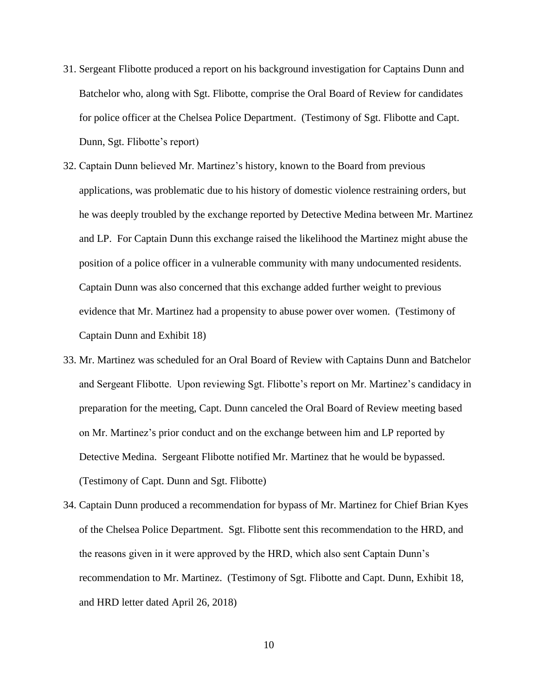- 31. Sergeant Flibotte produced a report on his background investigation for Captains Dunn and Batchelor who, along with Sgt. Flibotte, comprise the Oral Board of Review for candidates for police officer at the Chelsea Police Department. (Testimony of Sgt. Flibotte and Capt. Dunn, Sgt. Flibotte's report)
- 32. Captain Dunn believed Mr. Martinez's history, known to the Board from previous applications, was problematic due to his history of domestic violence restraining orders, but he was deeply troubled by the exchange reported by Detective Medina between Mr. Martinez and LP. For Captain Dunn this exchange raised the likelihood the Martinez might abuse the position of a police officer in a vulnerable community with many undocumented residents. Captain Dunn was also concerned that this exchange added further weight to previous evidence that Mr. Martinez had a propensity to abuse power over women. (Testimony of Captain Dunn and Exhibit 18)
- 33. Mr. Martinez was scheduled for an Oral Board of Review with Captains Dunn and Batchelor and Sergeant Flibotte. Upon reviewing Sgt. Flibotte's report on Mr. Martinez's candidacy in preparation for the meeting, Capt. Dunn canceled the Oral Board of Review meeting based on Mr. Martinez's prior conduct and on the exchange between him and LP reported by Detective Medina. Sergeant Flibotte notified Mr. Martinez that he would be bypassed. (Testimony of Capt. Dunn and Sgt. Flibotte)
- 34. Captain Dunn produced a recommendation for bypass of Mr. Martinez for Chief Brian Kyes of the Chelsea Police Department. Sgt. Flibotte sent this recommendation to the HRD, and the reasons given in it were approved by the HRD, which also sent Captain Dunn's recommendation to Mr. Martinez. (Testimony of Sgt. Flibotte and Capt. Dunn, Exhibit 18, and HRD letter dated April 26, 2018)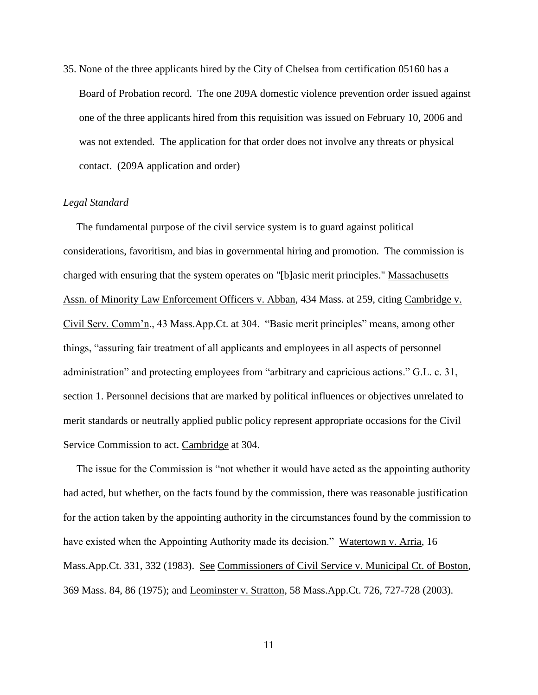35. None of the three applicants hired by the City of Chelsea from certification 05160 has a Board of Probation record. The one 209A domestic violence prevention order issued against one of the three applicants hired from this requisition was issued on February 10, 2006 and was not extended. The application for that order does not involve any threats or physical contact. (209A application and order)

## *Legal Standard*

 The fundamental purpose of the civil service system is to guard against political considerations, favoritism, and bias in governmental hiring and promotion. The commission is charged with ensuring that the system operates on "[b]asic merit principles." Massachusetts Assn. of Minority Law Enforcement Officers v. Abban, 434 Mass. at 259, citing Cambridge v. Civil Serv. Comm'n., 43 Mass.App.Ct. at 304. "Basic merit principles" means, among other things, "assuring fair treatment of all applicants and employees in all aspects of personnel administration" and protecting employees from "arbitrary and capricious actions." G.L. c. 31, section 1. Personnel decisions that are marked by political influences or objectives unrelated to merit standards or neutrally applied public policy represent appropriate occasions for the Civil Service Commission to act. Cambridge at 304.

 The issue for the Commission is "not whether it would have acted as the appointing authority had acted, but whether, on the facts found by the commission, there was reasonable justification for the action taken by the appointing authority in the circumstances found by the commission to have existed when the Appointing Authority made its decision." Watertown v. Arria, 16 Mass.App.Ct. 331, 332 (1983). See Commissioners of Civil Service v. Municipal Ct. of Boston, 369 Mass. 84, 86 (1975); and Leominster v. Stratton, 58 Mass.App.Ct. 726, 727-728 (2003).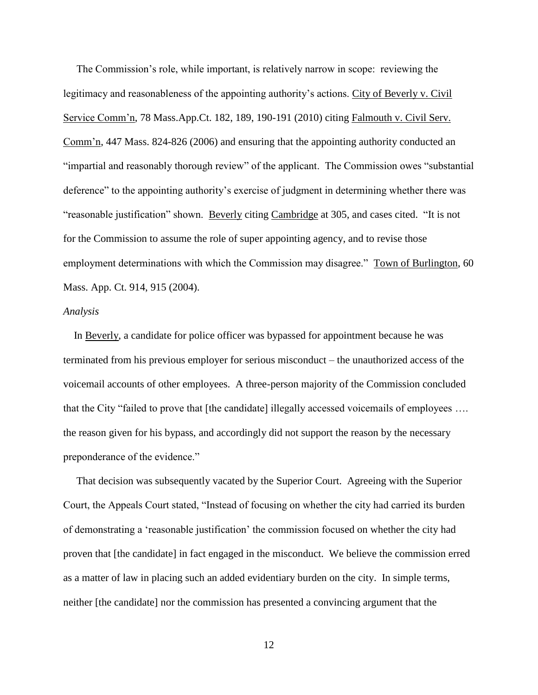The Commission's role, while important, is relatively narrow in scope: reviewing the legitimacy and reasonableness of the appointing authority's actions. City of Beverly v. Civil Service Comm'n, 78 Mass.App.Ct. 182, 189, 190-191 (2010) citing Falmouth v. Civil Serv. Comm'n, 447 Mass. 824-826 (2006) and ensuring that the appointing authority conducted an "impartial and reasonably thorough review" of the applicant. The Commission owes "substantial deference" to the appointing authority's exercise of judgment in determining whether there was "reasonable justification" shown. Beverly citing Cambridge at 305, and cases cited. "It is not for the Commission to assume the role of super appointing agency, and to revise those employment determinations with which the Commission may disagree." Town of Burlington, 60 Mass. App. Ct. 914, 915 (2004).

#### *Analysis*

 In Beverly, a candidate for police officer was bypassed for appointment because he was terminated from his previous employer for serious misconduct – the unauthorized access of the voicemail accounts of other employees. A three-person majority of the Commission concluded that the City "failed to prove that [the candidate] illegally accessed voicemails of employees …. the reason given for his bypass, and accordingly did not support the reason by the necessary preponderance of the evidence."

 That decision was subsequently vacated by the Superior Court. Agreeing with the Superior Court, the Appeals Court stated, "Instead of focusing on whether the city had carried its burden of demonstrating a 'reasonable justification' the commission focused on whether the city had proven that [the candidate] in fact engaged in the misconduct. We believe the commission erred as a matter of law in placing such an added evidentiary burden on the city. In simple terms, neither [the candidate] nor the commission has presented a convincing argument that the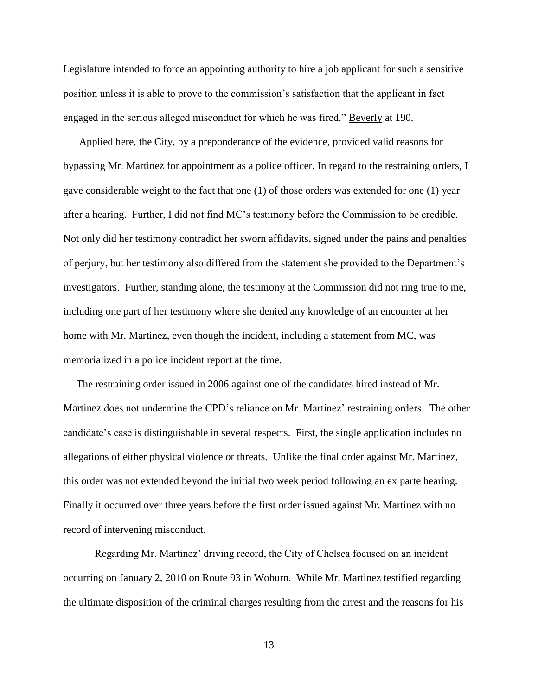Legislature intended to force an appointing authority to hire a job applicant for such a sensitive position unless it is able to prove to the commission's satisfaction that the applicant in fact engaged in the serious alleged misconduct for which he was fired." Beverly at 190.

 Applied here, the City, by a preponderance of the evidence, provided valid reasons for bypassing Mr. Martinez for appointment as a police officer. In regard to the restraining orders, I gave considerable weight to the fact that one (1) of those orders was extended for one (1) year after a hearing. Further, I did not find MC's testimony before the Commission to be credible. Not only did her testimony contradict her sworn affidavits, signed under the pains and penalties of perjury, but her testimony also differed from the statement she provided to the Department's investigators. Further, standing alone, the testimony at the Commission did not ring true to me, including one part of her testimony where she denied any knowledge of an encounter at her home with Mr. Martinez, even though the incident, including a statement from MC, was memorialized in a police incident report at the time.

 The restraining order issued in 2006 against one of the candidates hired instead of Mr. Martinez does not undermine the CPD's reliance on Mr. Martinez' restraining orders. The other candidate's case is distinguishable in several respects. First, the single application includes no allegations of either physical violence or threats. Unlike the final order against Mr. Martinez, this order was not extended beyond the initial two week period following an ex parte hearing. Finally it occurred over three years before the first order issued against Mr. Martinez with no record of intervening misconduct.

Regarding Mr. Martinez' driving record, the City of Chelsea focused on an incident occurring on January 2, 2010 on Route 93 in Woburn. While Mr. Martinez testified regarding the ultimate disposition of the criminal charges resulting from the arrest and the reasons for his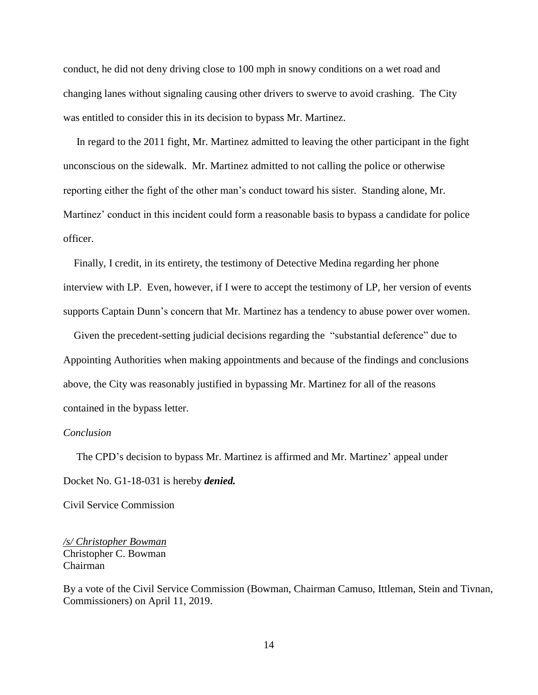conduct, he did not deny driving close to 100 mph in snowy conditions on a wet road and changing lanes without signaling causing other drivers to swerve to avoid crashing. The City was entitled to consider this in its decision to bypass Mr. Martinez.

 In regard to the 2011 fight, Mr. Martinez admitted to leaving the other participant in the fight unconscious on the sidewalk. Mr. Martinez admitted to not calling the police or otherwise reporting either the fight of the other man's conduct toward his sister. Standing alone, Mr. Martinez' conduct in this incident could form a reasonable basis to bypass a candidate for police officer.

 Finally, I credit, in its entirety, the testimony of Detective Medina regarding her phone interview with LP. Even, however, if I were to accept the testimony of LP, her version of events supports Captain Dunn's concern that Mr. Martinez has a tendency to abuse power over women.

 Given the precedent-setting judicial decisions regarding the "substantial deference" due to Appointing Authorities when making appointments and because of the findings and conclusions above, the City was reasonably justified in bypassing Mr. Martinez for all of the reasons contained in the bypass letter.

### *Conclusion*

 The CPD's decision to bypass Mr. Martinez is affirmed and Mr. Martinez' appeal under Docket No. G1-18-031 is hereby *denied.*

Civil Service Commission

*/s/ Christopher Bowman* Christopher C. Bowman Chairman

By a vote of the Civil Service Commission (Bowman, Chairman Camuso, Ittleman, Stein and Tivnan, Commissioners) on April 11, 2019.